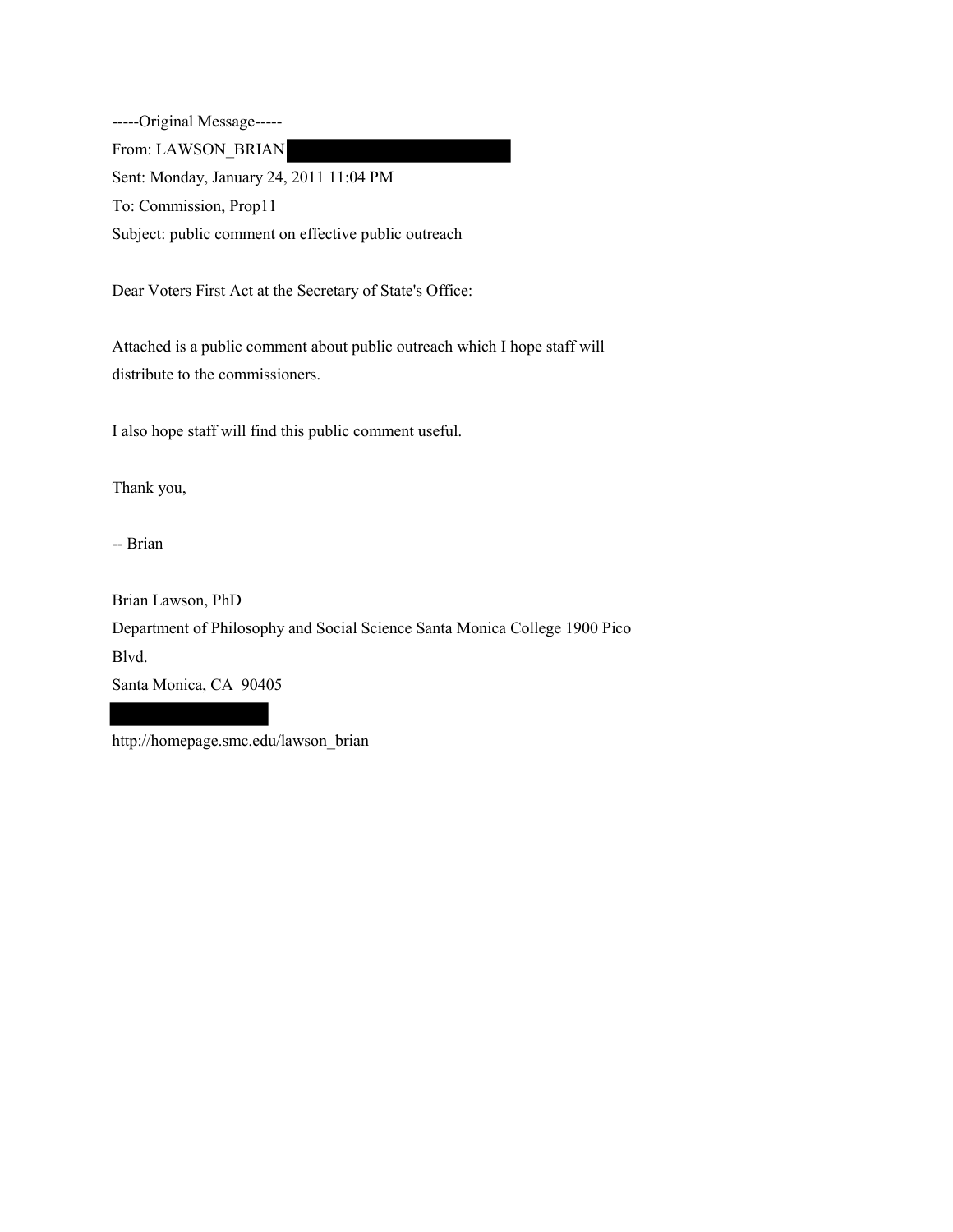-----Original Message----- From: LAWSON\_BRIAN Sent: Monday, January 24, 2011 11:04 PM To: Commission, Prop11 Subject: public comment on effective public outreach

Dear Voters First Act at the Secretary of State's Office:

Attached is a public comment about public outreach which I hope staff will distribute to the commissioners.

I also hope staff will find this public comment useful.

Thank you,

-- Brian

Brian Lawson, PhD Department of Philosophy and Social Science Santa Monica College 1900 Pico

Blvd.

Santa Monica, CA 90405

http://homepage.smc.edu/lawson\_brian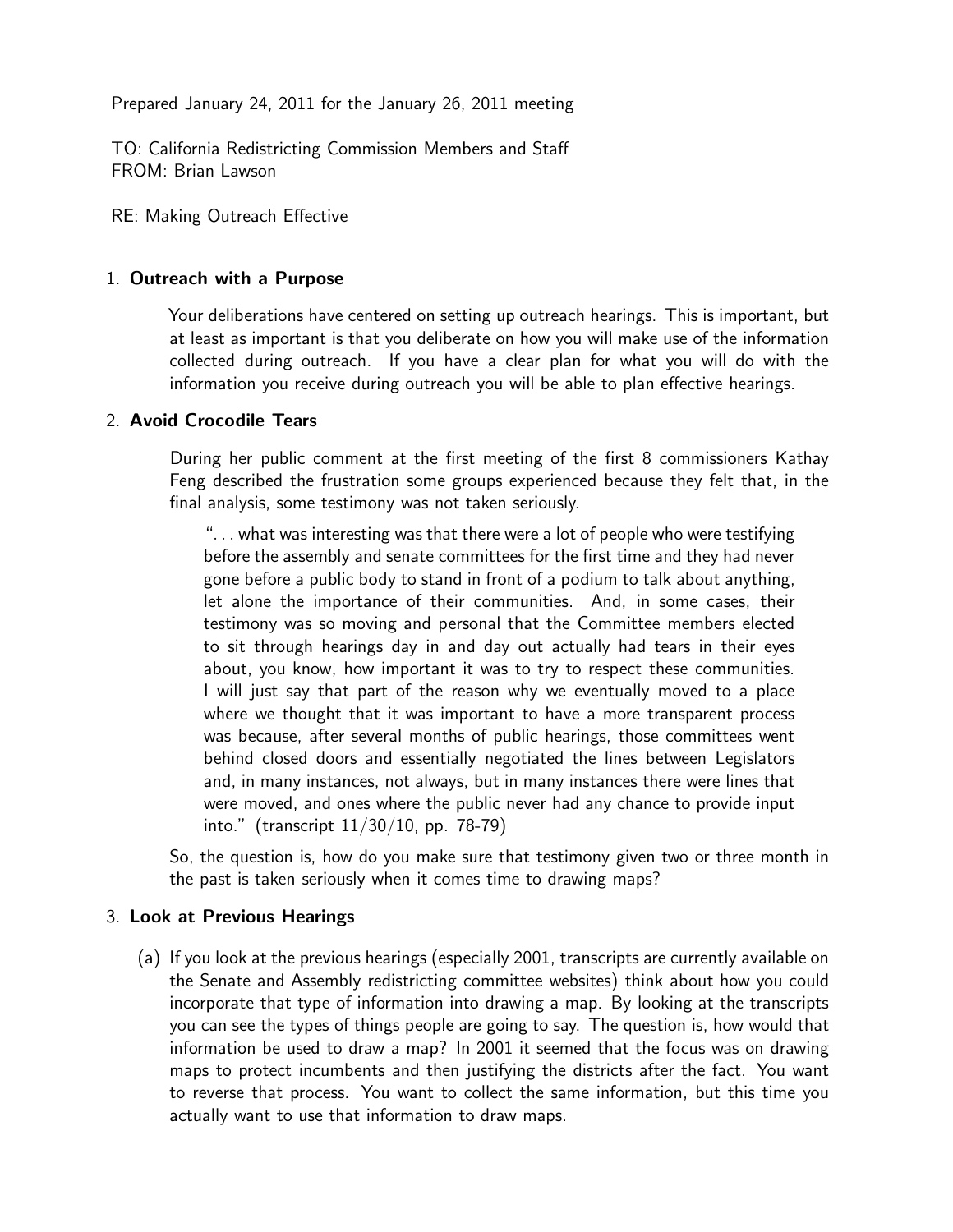Prepared January 24, 2011 for the January 26, 2011 meeting

TO: California Redistricting Commission Members and Staff FROM: Brian Lawson

RE: Making Outreach Effective

## 1. Outreach with a Purpose

Your deliberations have centered on setting up outreach hearings. This is important, but at least as important is that you deliberate on how you will make use of the information collected during outreach. If you have a clear plan for what you will do with the information you receive during outreach you will be able to plan effective hearings.

## 2. Avoid Crocodile Tears

During her public comment at the first meeting of the first 8 commissioners Kathay Feng described the frustration some groups experienced because they felt that, in the final analysis, some testimony was not taken seriously.

". . . what was interesting was that there were a lot of people who were testifying before the assembly and senate committees for the first time and they had never gone before a public body to stand in front of a podium to talk about anything, let alone the importance of their communities. And, in some cases, their testimony was so moving and personal that the Committee members elected to sit through hearings day in and day out actually had tears in their eyes about, you know, how important it was to try to respect these communities. I will just say that part of the reason why we eventually moved to a place where we thought that it was important to have a more transparent process was because, after several months of public hearings, those committees went behind closed doors and essentially negotiated the lines between Legislators and, in many instances, not always, but in many instances there were lines that were moved, and ones where the public never had any chance to provide input into." (transcript 11/30/10, pp. 78-79)

So, the question is, how do you make sure that testimony given two or three month in the past is taken seriously when it comes time to drawing maps?

## 3. Look at Previous Hearings

(a) If you look at the previous hearings (especially 2001, transcripts are currently available on the Senate and Assembly redistricting committee websites) think about how you could incorporate that type of information into drawing a map. By looking at the transcripts you can see the types of things people are going to say. The question is, how would that information be used to draw a map? In 2001 it seemed that the focus was on drawing maps to protect incumbents and then justifying the districts after the fact. You want to reverse that process. You want to collect the same information, but this time you actually want to use that information to draw maps.